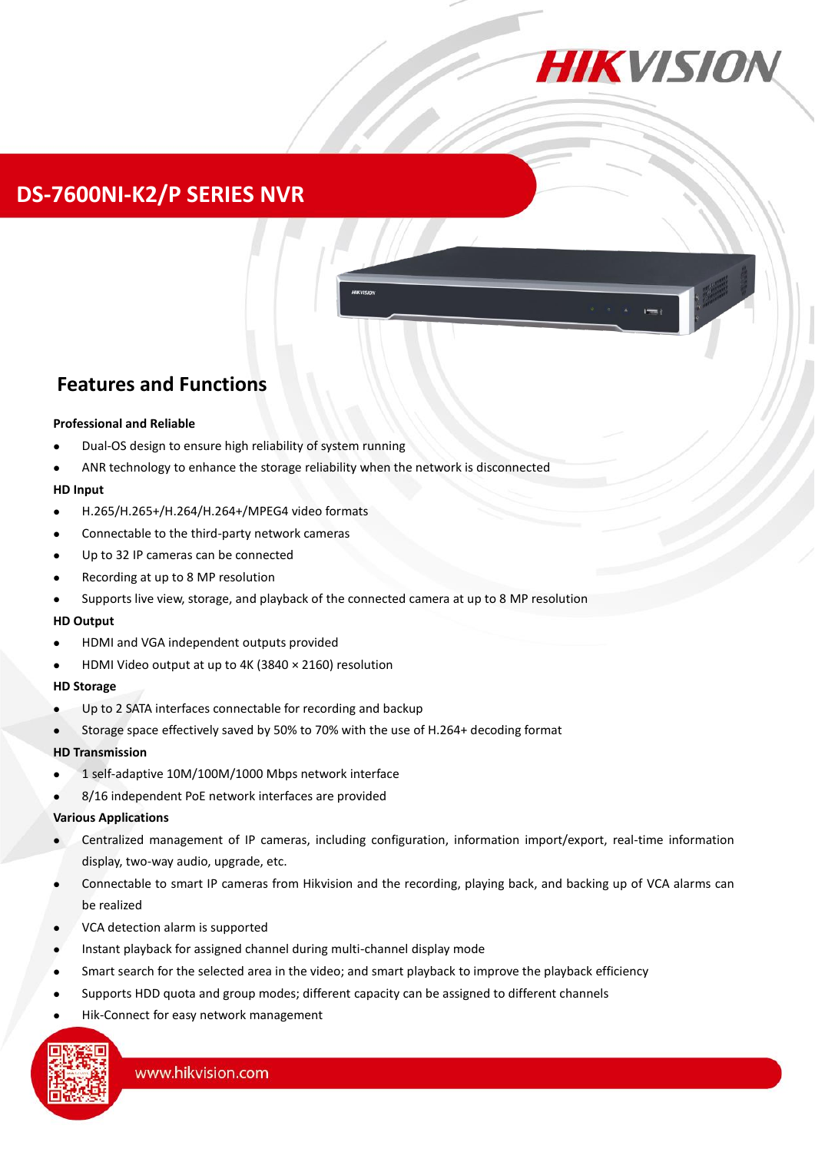

# **DS-7600NI-K2/P SERIES NVR**

## **Features and Functions**

#### **Professional and Reliable**

- Dual-OS design to ensure high reliability of system running
- ANR technology to enhance the storage reliability when the network is disconnected

#### **HD Input**

- H.265/H.265+/H.264/H.264+/MPEG4 video formats
- Connectable to the third-party network cameras
- Up to 32 IP cameras can be connected
- Recording at up to 8 MP resolution
- Supports live view, storage, and playback of the connected camera at up to 8 MP resolution

#### **HD Output**

- HDMI and VGA independent outputs provided
- HDMI Video output at up to 4K (3840 × 2160) resolution

#### **HD Storage**

- Up to 2 SATA interfaces connectable for recording and backup
- Storage space effectively saved by 50% to 70% with the use of H.264+ decoding format

#### **HD Transmission**

- 1 self-adaptive 10M/100M/1000 Mbps network interface
- 8/16 independent PoE network interfaces are provided

#### **Various Applications**

- Centralized management of IP cameras, including configuration, information import/export, real-time information display, two-way audio, upgrade, etc.
- Connectable to smart IP cameras from Hikvision and the recording, playing back, and backing up of VCA alarms can be realized
- VCA detection alarm is supported
- Instant playback for assigned channel during multi-channel display mode
- Smart search for the selected area in the video; and smart playback to improve the playback efficiency
- Supports HDD quota and group modes; different capacity can be assigned to different channels
- Hik-Connect for easy network management

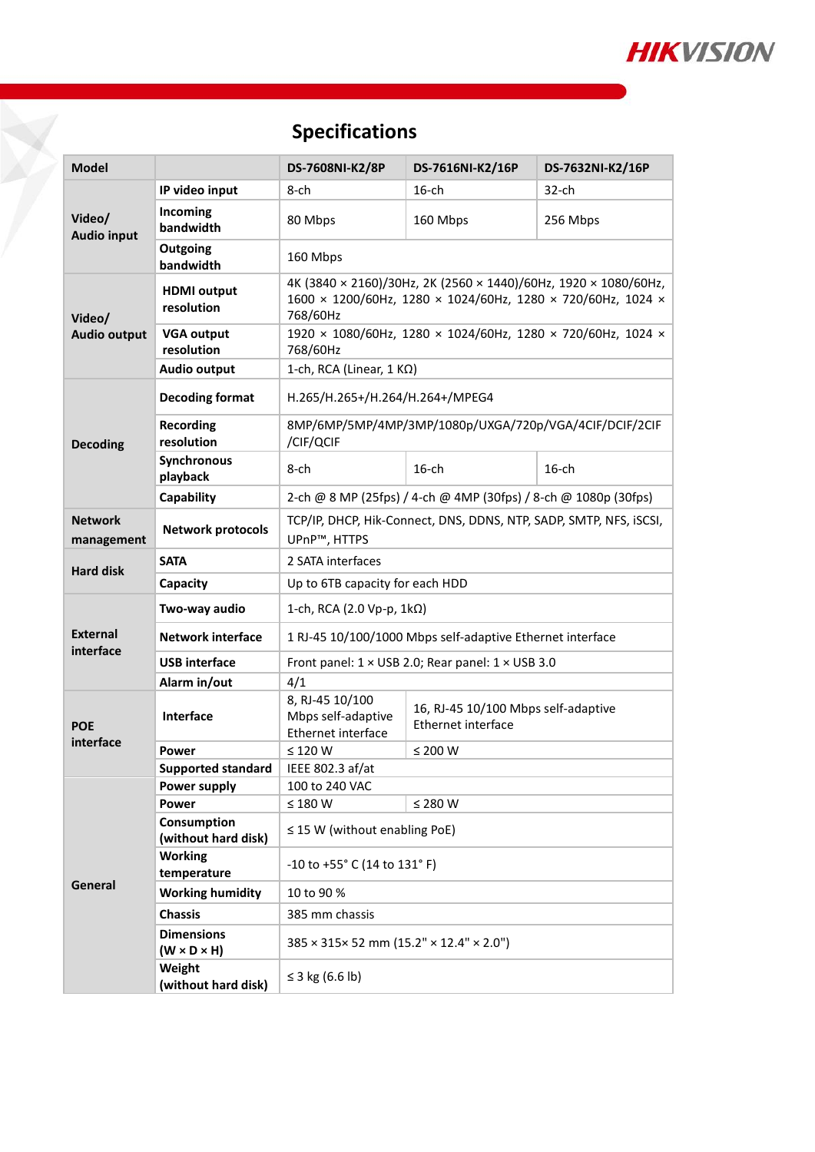

# **Specifications**

| <b>Model</b>                  |                                              | DS-7608NI-K2/8P                                                                                                                            | DS-7616NI-K2/16P                                          | DS-7632NI-K2/16P |  |
|-------------------------------|----------------------------------------------|--------------------------------------------------------------------------------------------------------------------------------------------|-----------------------------------------------------------|------------------|--|
| Video/<br><b>Audio input</b>  | IP video input                               | 8-ch                                                                                                                                       | 16-ch                                                     | 32-ch            |  |
|                               | Incoming<br>bandwidth                        | 80 Mbps                                                                                                                                    | 160 Mbps                                                  | 256 Mbps         |  |
|                               | Outgoing<br>bandwidth                        | 160 Mbps                                                                                                                                   |                                                           |                  |  |
| Video/<br><b>Audio output</b> | <b>HDMI</b> output<br>resolution             | 4K (3840 × 2160)/30Hz, 2K (2560 × 1440)/60Hz, 1920 × 1080/60Hz,<br>1600 × 1200/60Hz, 1280 × 1024/60Hz, 1280 × 720/60Hz, 1024 ×<br>768/60Hz |                                                           |                  |  |
|                               | <b>VGA output</b><br>resolution              | 1920 × 1080/60Hz, 1280 × 1024/60Hz, 1280 × 720/60Hz, 1024 ×<br>768/60Hz                                                                    |                                                           |                  |  |
|                               | <b>Audio output</b>                          | 1-ch, RCA (Linear, $1 K\Omega$ )                                                                                                           |                                                           |                  |  |
| <b>Decoding</b>               | <b>Decoding format</b>                       | H.265/H.265+/H.264/H.264+/MPEG4                                                                                                            |                                                           |                  |  |
|                               | <b>Recording</b><br>resolution               | 8MP/6MP/5MP/4MP/3MP/1080p/UXGA/720p/VGA/4CIF/DCIF/2CIF<br>/CIF/QCIF                                                                        |                                                           |                  |  |
|                               | Synchronous<br>playback                      | $8$ -ch                                                                                                                                    | $16$ -ch                                                  | $16$ -ch         |  |
|                               | Capability                                   | 2-ch @ 8 MP (25fps) / 4-ch @ 4MP (30fps) / 8-ch @ 1080p (30fps)                                                                            |                                                           |                  |  |
| <b>Network</b><br>management  | <b>Network protocols</b>                     | TCP/IP, DHCP, Hik-Connect, DNS, DDNS, NTP, SADP, SMTP, NFS, iSCSI,<br>UPnP™, HTTPS                                                         |                                                           |                  |  |
| <b>Hard disk</b>              | <b>SATA</b>                                  | 2 SATA interfaces                                                                                                                          |                                                           |                  |  |
|                               | Capacity                                     | Up to 6TB capacity for each HDD                                                                                                            |                                                           |                  |  |
| <b>External</b><br>interface  | Two-way audio                                | 1-ch, RCA (2.0 Vp-p, $1k\Omega$ )                                                                                                          |                                                           |                  |  |
|                               | <b>Network interface</b>                     | 1 RJ-45 10/100/1000 Mbps self-adaptive Ethernet interface                                                                                  |                                                           |                  |  |
|                               | <b>USB</b> interface                         | Front panel: 1 × USB 2.0; Rear panel: 1 × USB 3.0                                                                                          |                                                           |                  |  |
|                               | Alarm in/out                                 | 4/1                                                                                                                                        |                                                           |                  |  |
| <b>POE</b><br>interface       | Interface                                    | 8, RJ-45 10/100<br>Mbps self-adaptive<br>Ethernet interface                                                                                | 16, RJ-45 10/100 Mbps self-adaptive<br>Ethernet interface |                  |  |
|                               | Power                                        | $\leq$ 120 W                                                                                                                               | $\leq$ 200 W                                              |                  |  |
|                               | Supported standard   IEEE 802.3 af/at        |                                                                                                                                            |                                                           |                  |  |
| General                       | Power supply                                 | 100 to 240 VAC                                                                                                                             |                                                           |                  |  |
|                               | Power                                        | $\leq 180$ W                                                                                                                               | ≤ 280 W                                                   |                  |  |
|                               | Consumption<br>(without hard disk)           | $\leq$ 15 W (without enabling PoE)                                                                                                         |                                                           |                  |  |
|                               | <b>Working</b><br>temperature                | -10 to +55° C (14 to 131° F)                                                                                                               |                                                           |                  |  |
|                               | <b>Working humidity</b>                      | 10 to 90 %                                                                                                                                 |                                                           |                  |  |
|                               | <b>Chassis</b>                               | 385 mm chassis                                                                                                                             |                                                           |                  |  |
|                               | <b>Dimensions</b><br>$(W \times D \times H)$ | 385 × 315× 52 mm (15.2" × 12.4" × 2.0")                                                                                                    |                                                           |                  |  |
|                               | Weight<br>(without hard disk)                | ≤ 3 kg (6.6 lb)                                                                                                                            |                                                           |                  |  |